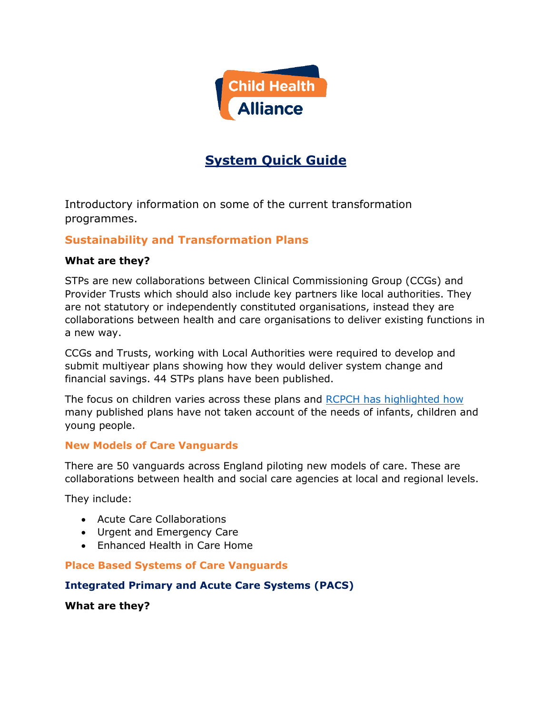

# **System Quick Guide**

Introductory information on some of the current transformation programmes.

# **Sustainability and Transformation Plans**

## **What are they?**

STPs are new collaborations between Clinical Commissioning Group (CCGs) and Provider Trusts which should also include key partners like local authorities. They are not statutory or independently constituted organisations, instead they are collaborations between health and care organisations to deliver existing functions in a new way.

CCGs and Trusts, working with Local Authorities were required to develop and submit multiyear plans showing how they would deliver system change and financial savings. 44 STPs plans have been published.

The focus on children varies across these plans and [RCPCH has highlighted how](http://www.rcpch.ac.uk/system/files/protected/page/STP%20short%20report%20FINAL%2015.05.2017.pdf) many published plans have not taken account of the needs of infants, children and young people.

## **New Models of Care Vanguards**

There are 50 vanguards across England piloting new models of care. These are collaborations between health and social care agencies at local and regional levels.

They include:

- Acute Care Collaborations
- Urgent and Emergency Care
- Enhanced Health in Care Home

## **Place Based Systems of Care Vanguards**

## **Integrated Primary and Acute Care Systems (PACS)**

**What are they?**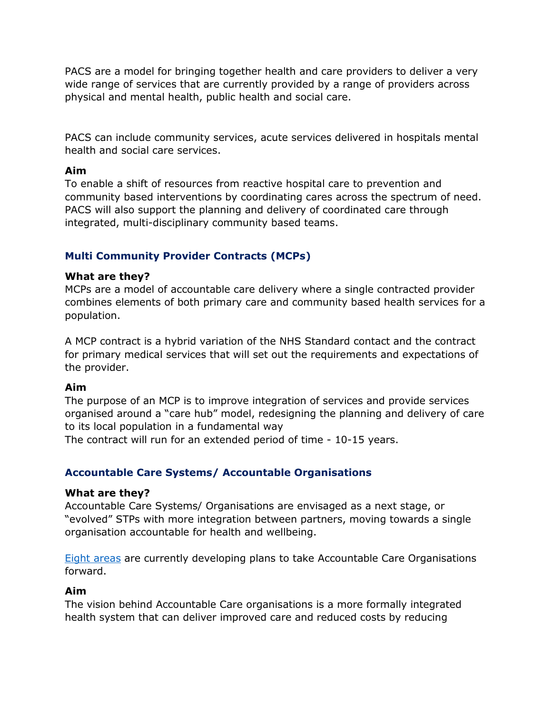PACS are a model for bringing together health and care providers to deliver a very wide range of services that are currently provided by a range of providers across physical and mental health, public health and social care.

PACS can include community services, acute services delivered in hospitals mental health and social care services.

#### **Aim**

To enable a shift of resources from reactive hospital care to prevention and community based interventions by coordinating cares across the spectrum of need. PACS will also support the planning and delivery of coordinated care through integrated, multi-disciplinary community based teams.

## **Multi Community Provider Contracts (MCPs)**

#### **What are they?**

MCPs are a model of accountable care delivery where a single contracted provider combines elements of both primary care and community based health services for a population.

A MCP contract is a hybrid variation of the NHS Standard contact and the contract for primary medical services that will set out the requirements and expectations of the provider.

## **Aim**

The purpose of an MCP is to improve integration of services and provide services organised around a "care hub" model, redesigning the planning and delivery of care to its local population in a fundamental way

The contract will run for an extended period of time - 10-15 years.

## **Accountable Care Systems/ Accountable Organisations**

#### **What are they?**

Accountable Care Systems/ Organisations are envisaged as a next stage, or "evolved" STPs with more integration between partners, moving towards a single organisation accountable for health and wellbeing.

**Eight [areas](https://www.england.nhs.uk/2017/06/nhs-moves-to-end-fractured-care-system/)** are currently developing plans to take Accountable Care Organisations forward.

## **Aim**

The vision behind Accountable Care organisations is a more formally integrated health system that can deliver improved care and reduced costs by reducing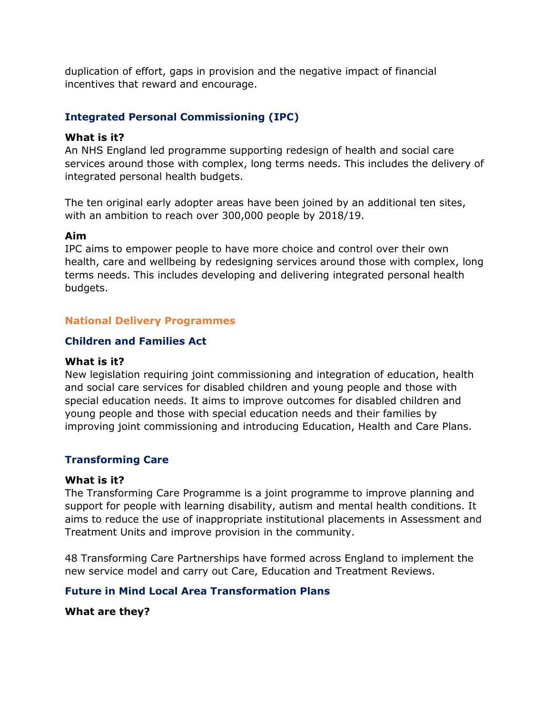duplication of effort, gaps in provision and the negative impact of financial incentives that reward and encourage.

## **Integrated Personal Commissioning (IPC)**

#### **What is it?**

An NHS England led programme supporting redesign of health and social care services around those with complex, long terms needs. This includes the delivery of integrated personal health budgets.

The ten original early adopter areas have been joined by an additional ten sites, with an ambition to reach over 300,000 people by 2018/19.

#### **Aim**

IPC aims to empower people to have more choice and control over their own health, care and wellbeing by redesigning services around those with complex, long terms needs. This includes developing and delivering integrated personal health budgets.

## **National Delivery Programmes**

## **Children and Families Act**

#### **What is it?**

New legislation requiring joint commissioning and integration of education, health and social care services for disabled children and young people and those with special education needs. It aims to improve outcomes for disabled children and young people and those with special education needs and their families by improving joint commissioning and introducing Education, Health and Care Plans.

## **Transforming Care**

#### **What is it?**

The Transforming Care Programme is a joint programme to improve planning and support for people with learning disability, autism and mental health conditions. It aims to reduce the use of inappropriate institutional placements in Assessment and Treatment Units and improve provision in the community.

48 Transforming Care Partnerships have formed across England to implement the new service model and carry out Care, Education and Treatment Reviews.

## **Future in Mind Local Area Transformation Plans**

**What are they?**